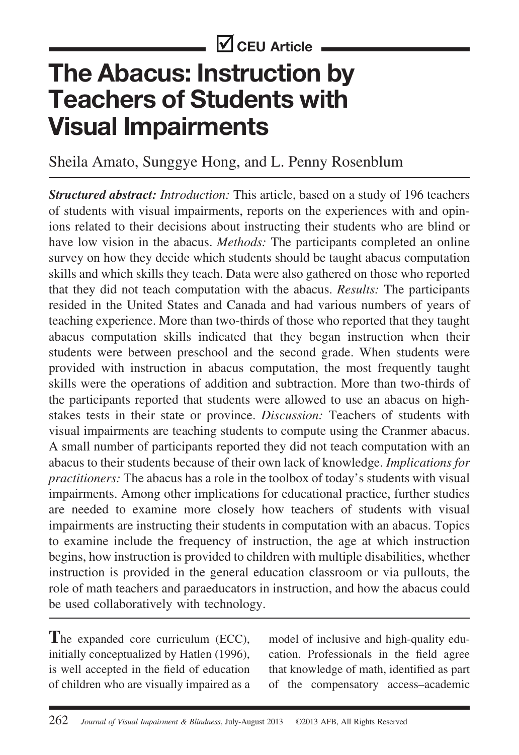# **CEU Article The Abacus: Instruction by Teachers of Students with Visual Impairments**

Sheila Amato, Sunggye Hong, and L. Penny Rosenblum

*Structured abstract: Introduction:* This article, based on a study of 196 teachers of students with visual impairments, reports on the experiences with and opinions related to their decisions about instructing their students who are blind or have low vision in the abacus. *Methods:* The participants completed an online survey on how they decide which students should be taught abacus computation skills and which skills they teach. Data were also gathered on those who reported that they did not teach computation with the abacus. *Results:* The participants resided in the United States and Canada and had various numbers of years of teaching experience. More than two-thirds of those who reported that they taught abacus computation skills indicated that they began instruction when their students were between preschool and the second grade. When students were provided with instruction in abacus computation, the most frequently taught skills were the operations of addition and subtraction. More than two-thirds of the participants reported that students were allowed to use an abacus on highstakes tests in their state or province. *Discussion:* Teachers of students with visual impairments are teaching students to compute using the Cranmer abacus. A small number of participants reported they did not teach computation with an abacus to their students because of their own lack of knowledge. *Implications for practitioners:* The abacus has a role in the toolbox of today's students with visual impairments. Among other implications for educational practice, further studies are needed to examine more closely how teachers of students with visual impairments are instructing their students in computation with an abacus. Topics to examine include the frequency of instruction, the age at which instruction begins, how instruction is provided to children with multiple disabilities, whether instruction is provided in the general education classroom or via pullouts, the role of math teachers and paraeducators in instruction, and how the abacus could be used collaboratively with technology.

The expanded core curriculum (ECC), model of inclusive and high-quality eduinitially conceptualized by Hatlen (1996), cation. Professionals in the field agree is well accepted in the field of education that knowledge of math, identified as part of children who are visually impaired as a of the compensatory access–academic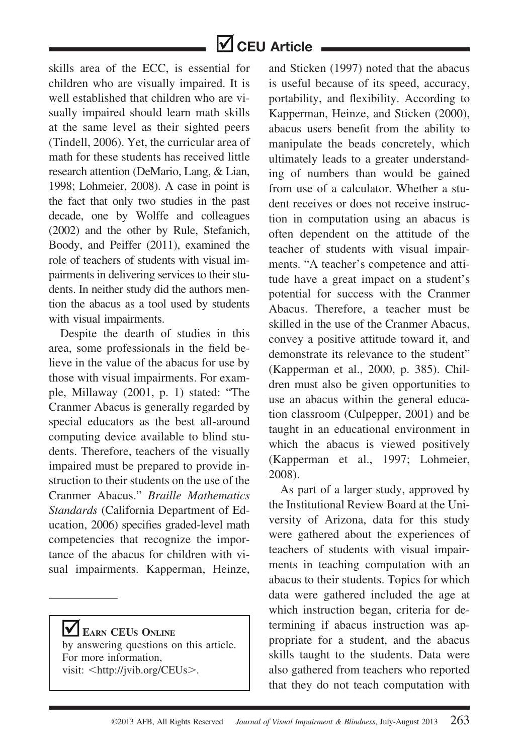

skills area of the ECC, is essential for children who are visually impaired. It is well established that children who are visually impaired should learn math skills at the same level as their sighted peers (Tindell, 2006). Yet, the curricular area of math for these students has received little research attention (DeMario, Lang, & Lian, 1998; Lohmeier, 2008). A case in point is the fact that only two studies in the past decade, one by Wolffe and colleagues (2002) and the other by Rule, Stefanich, Boody, and Peiffer (2011), examined the role of teachers of students with visual impairments in delivering services to their students. In neither study did the authors mention the abacus as a tool used by students with visual impairments.

Despite the dearth of studies in this area, some professionals in the field believe in the value of the abacus for use by those with visual impairments. For example, Millaway (2001, p. 1) stated: "The Cranmer Abacus is generally regarded by special educators as the best all-around computing device available to blind students. Therefore, teachers of the visually impaired must be prepared to provide instruction to their students on the use of the Cranmer Abacus." *Braille Mathematics Standards* (California Department of Education, 2006) specifies graded-level math competencies that recognize the importance of the abacus for children with visual impairments. Kapperman, Heinze,

**EARN CEUS ONLINE** by answering questions on this article. For more information, visit: <http://jvib.org/CEUs>.

and Sticken (1997) noted that the abacus is useful because of its speed, accuracy, portability, and flexibility. According to Kapperman, Heinze, and Sticken (2000), abacus users benefit from the ability to manipulate the beads concretely, which ultimately leads to a greater understanding of numbers than would be gained from use of a calculator. Whether a student receives or does not receive instruction in computation using an abacus is often dependent on the attitude of the teacher of students with visual impairments. "A teacher's competence and attitude have a great impact on a student's potential for success with the Cranmer Abacus. Therefore, a teacher must be skilled in the use of the Cranmer Abacus, convey a positive attitude toward it, and demonstrate its relevance to the student" (Kapperman et al., 2000, p. 385). Children must also be given opportunities to use an abacus within the general education classroom (Culpepper, 2001) and be taught in an educational environment in which the abacus is viewed positively (Kapperman et al., 1997; Lohmeier, 2008).

As part of a larger study, approved by the Institutional Review Board at the University of Arizona, data for this study were gathered about the experiences of teachers of students with visual impairments in teaching computation with an abacus to their students. Topics for which data were gathered included the age at which instruction began, criteria for determining if abacus instruction was appropriate for a student, and the abacus skills taught to the students. Data were also gathered from teachers who reported that they do not teach computation with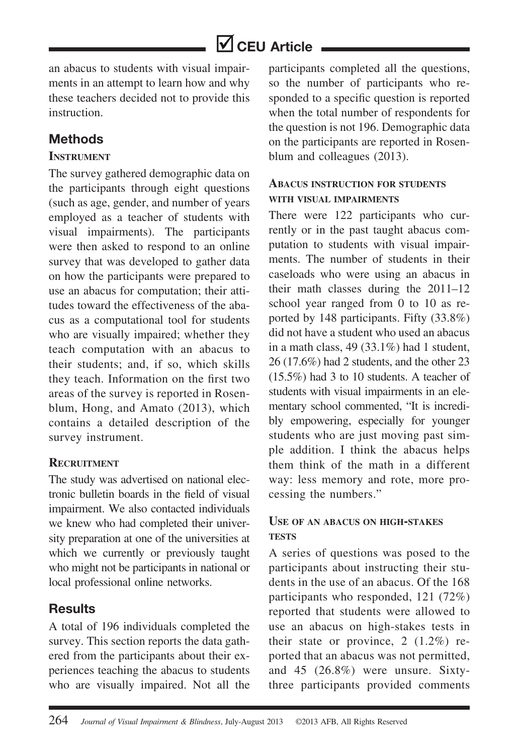

an abacus to students with visual impairments in an attempt to learn how and why these teachers decided not to provide this instruction.

### **Methods**

#### **INSTRUMENT**

The survey gathered demographic data on the participants through eight questions (such as age, gender, and number of years employed as a teacher of students with visual impairments). The participants were then asked to respond to an online survey that was developed to gather data on how the participants were prepared to use an abacus for computation; their attitudes toward the effectiveness of the abacus as a computational tool for students who are visually impaired; whether they teach computation with an abacus to their students; and, if so, which skills they teach. Information on the first two areas of the survey is reported in Rosenblum, Hong, and Amato (2013), which contains a detailed description of the survey instrument.

### **RECRUITMENT**

The study was advertised on national electronic bulletin boards in the field of visual impairment. We also contacted individuals we knew who had completed their university preparation at one of the universities at which we currently or previously taught who might not be participants in national or local professional online networks.

### **Results**

A total of 196 individuals completed the survey. This section reports the data gathered from the participants about their experiences teaching the abacus to students who are visually impaired. Not all the

participants completed all the questions, so the number of participants who responded to a specific question is reported when the total number of respondents for the question is not 196. Demographic data on the participants are reported in Rosenblum and colleagues (2013).

### **ABACUS INSTRUCTION FOR STUDENTS WITH VISUAL IMPAIRMENTS**

There were 122 participants who currently or in the past taught abacus computation to students with visual impairments. The number of students in their caseloads who were using an abacus in their math classes during the 2011–12 school year ranged from 0 to 10 as reported by 148 participants. Fifty (33.8%) did not have a student who used an abacus in a math class, 49 (33.1%) had 1 student, 26 (17.6%) had 2 students, and the other 23 (15.5%) had 3 to 10 students. A teacher of students with visual impairments in an elementary school commented, "It is incredibly empowering, especially for younger students who are just moving past simple addition. I think the abacus helps them think of the math in a different way: less memory and rote, more processing the numbers."

### **USE OF AN ABACUS ON HIGH-STAKES TESTS**

A series of questions was posed to the participants about instructing their students in the use of an abacus. Of the 168 participants who responded, 121 (72%) reported that students were allowed to use an abacus on high-stakes tests in their state or province,  $2(1.2\%)$  reported that an abacus was not permitted, and 45 (26.8%) were unsure. Sixtythree participants provided comments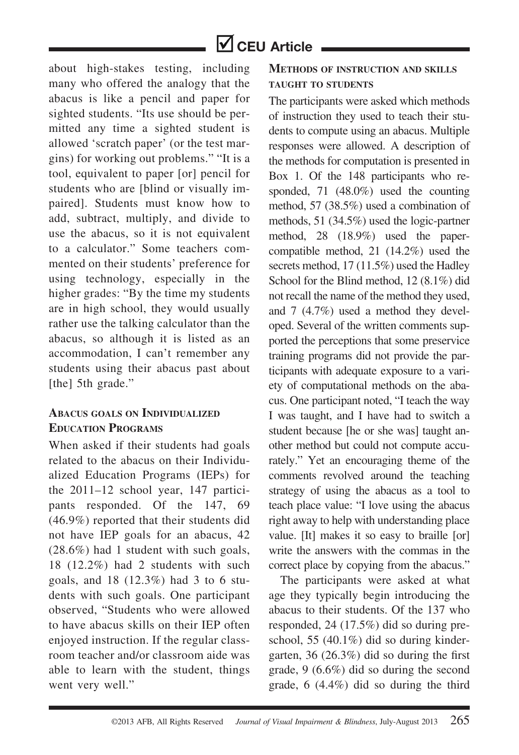about high-stakes testing, including many who offered the analogy that the abacus is like a pencil and paper for sighted students. "Its use should be permitted any time a sighted student is allowed 'scratch paper' (or the test margins) for working out problems." "It is a tool, equivalent to paper [or] pencil for students who are [blind or visually impaired]. Students must know how to add, subtract, multiply, and divide to use the abacus, so it is not equivalent to a calculator." Some teachers commented on their students' preference for using technology, especially in the higher grades: "By the time my students are in high school, they would usually rather use the talking calculator than the abacus, so although it is listed as an accommodation, I can't remember any students using their abacus past about [the] 5th grade."

#### **ABACUS GOALS ON INDIVIDUALIZED EDUCATION PROGRAMS**

When asked if their students had goals related to the abacus on their Individualized Education Programs (IEPs) for the 2011–12 school year, 147 participants responded. Of the 147, 69 (46.9%) reported that their students did not have IEP goals for an abacus, 42 (28.6%) had 1 student with such goals, 18 (12.2%) had 2 students with such goals, and 18 (12.3%) had 3 to 6 students with such goals. One participant observed, "Students who were allowed to have abacus skills on their IEP often enjoyed instruction. If the regular classroom teacher and/or classroom aide was able to learn with the student, things went very well."

### **METHODS OF INSTRUCTION AND SKILLS TAUGHT TO STUDENTS**

The participants were asked which methods of instruction they used to teach their students to compute using an abacus. Multiple responses were allowed. A description of the methods for computation is presented in Box 1. Of the 148 participants who responded, 71 (48.0%) used the counting method, 57 (38.5%) used a combination of methods, 51 (34.5%) used the logic-partner method, 28 (18.9%) used the papercompatible method, 21 (14.2%) used the secrets method, 17 (11.5%) used the Hadley School for the Blind method, 12 (8.1%) did not recall the name of the method they used, and 7 (4.7%) used a method they developed. Several of the written comments supported the perceptions that some preservice training programs did not provide the participants with adequate exposure to a variety of computational methods on the abacus. One participant noted, "I teach the way I was taught, and I have had to switch a student because [he or she was] taught another method but could not compute accurately." Yet an encouraging theme of the comments revolved around the teaching strategy of using the abacus as a tool to teach place value: "I love using the abacus right away to help with understanding place value. [It] makes it so easy to braille [or] write the answers with the commas in the correct place by copying from the abacus."

The participants were asked at what age they typically begin introducing the abacus to their students. Of the 137 who responded, 24 (17.5%) did so during preschool, 55 (40.1%) did so during kindergarten, 36 (26.3%) did so during the first grade, 9 (6.6%) did so during the second grade, 6 (4.4%) did so during the third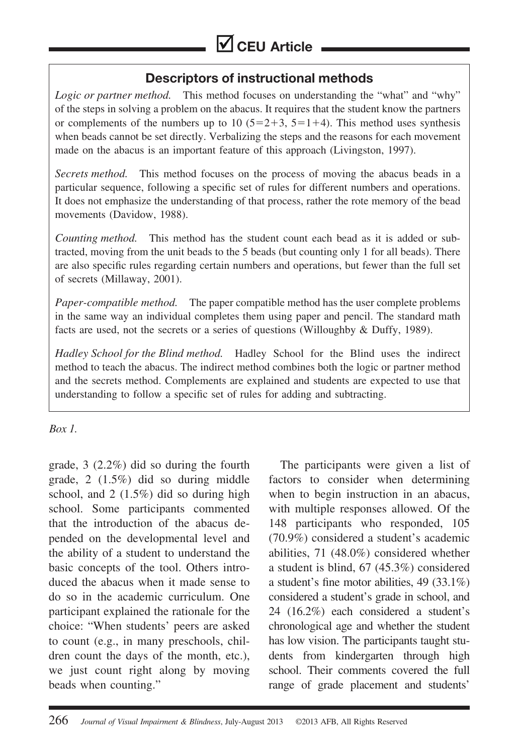### **Descriptors of instructional methods**

*Logic or partner method.* This method focuses on understanding the "what" and "why" of the steps in solving a problem on the abacus. It requires that the student know the partners or complements of the numbers up to 10 ( $5=2+3$ ,  $5=1+4$ ). This method uses synthesis when beads cannot be set directly. Verbalizing the steps and the reasons for each movement made on the abacus is an important feature of this approach (Livingston, 1997).

*Secrets method.* This method focuses on the process of moving the abacus beads in a particular sequence, following a specific set of rules for different numbers and operations. It does not emphasize the understanding of that process, rather the rote memory of the bead movements (Davidow, 1988).

*Counting method.* This method has the student count each bead as it is added or subtracted, moving from the unit beads to the 5 beads (but counting only 1 for all beads). There are also specific rules regarding certain numbers and operations, but fewer than the full set of secrets (Millaway, 2001).

*Paper-compatible method.* The paper compatible method has the user complete problems in the same way an individual completes them using paper and pencil. The standard math facts are used, not the secrets or a series of questions (Willoughby & Duffy, 1989).

*Hadley School for the Blind method.* Hadley School for the Blind uses the indirect method to teach the abacus. The indirect method combines both the logic or partner method and the secrets method. Complements are explained and students are expected to use that understanding to follow a specific set of rules for adding and subtracting.

#### *Box 1.*

grade, 3 (2.2%) did so during the fourth grade, 2 (1.5%) did so during middle school, and  $2(1.5\%)$  did so during high school. Some participants commented that the introduction of the abacus depended on the developmental level and the ability of a student to understand the basic concepts of the tool. Others introduced the abacus when it made sense to do so in the academic curriculum. One participant explained the rationale for the choice: "When students' peers are asked to count (e.g., in many preschools, children count the days of the month, etc.), we just count right along by moving beads when counting."

The participants were given a list of factors to consider when determining when to begin instruction in an abacus, with multiple responses allowed. Of the 148 participants who responded, 105 (70.9%) considered a student's academic abilities, 71 (48.0%) considered whether a student is blind, 67 (45.3%) considered a student's fine motor abilities, 49 (33.1%) considered a student's grade in school, and 24 (16.2%) each considered a student's chronological age and whether the student has low vision. The participants taught students from kindergarten through high school. Their comments covered the full range of grade placement and students'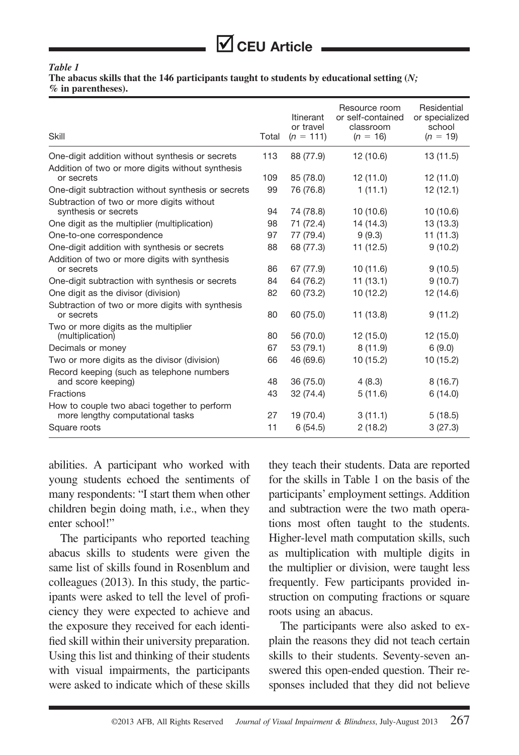#### *Table 1*

#### **The abacus skills that the 146 participants taught to students by educational setting (***N;* **% in parentheses).**

| Skill                                                                           | Total | Itinerant<br>or travel<br>$(n = 111)$ | Resource room<br>or self-contained<br>classroom<br>$(n = 16)$ | Residential<br>or specialized<br>school<br>$(n = 19)$ |
|---------------------------------------------------------------------------------|-------|---------------------------------------|---------------------------------------------------------------|-------------------------------------------------------|
| One-digit addition without synthesis or secrets                                 | 113   | 88 (77.9)                             | 12 (10.6)                                                     | 13 (11.5)                                             |
| Addition of two or more digits without synthesis<br>or secrets                  | 109   | 85 (78.0)                             | 12(11.0)                                                      | 12(11.0)                                              |
| One-digit subtraction without synthesis or secrets                              | 99    | 76 (76.8)                             | 1(11.1)                                                       | 12(12.1)                                              |
| Subtraction of two or more digits without<br>synthesis or secrets               | 94    | 74 (78.8)                             | 10(10.6)                                                      | 10 (10.6)                                             |
| One digit as the multiplier (multiplication)                                    | 98    | 71 (72.4)                             | 14 (14.3)                                                     | 13 (13.3)                                             |
| One-to-one correspondence                                                       | 97    | 77 (79.4)                             | 9(9.3)                                                        | 11(11.3)                                              |
| One-digit addition with synthesis or secrets                                    | 88    | 68 (77.3)                             | 11 (12.5)                                                     | 9(10.2)                                               |
| Addition of two or more digits with synthesis<br>or secrets                     | 86    | 67 (77.9)                             | 10(11.6)                                                      | 9(10.5)                                               |
| One-digit subtraction with synthesis or secrets                                 | 84    | 64 (76.2)                             | 11(13.1)                                                      | 9(10.7)                                               |
| One digit as the divisor (division)                                             | 82    | 60 (73.2)                             | 10(12.2)                                                      | 12 (14.6)                                             |
| Subtraction of two or more digits with synthesis<br>or secrets                  | 80    | 60 (75.0)                             | 11 (13.8)                                                     | 9(11.2)                                               |
| Two or more digits as the multiplier<br>(multiplication)                        | 80    | 56 (70.0)                             | 12(15.0)                                                      | 12 (15.0)                                             |
| Decimals or money                                                               | 67    | 53 (79.1)                             | 8(11.9)                                                       | 6(9.0)                                                |
| Two or more digits as the divisor (division)                                    | 66    | 46 (69.6)                             | 10(15.2)                                                      | 10(15.2)                                              |
| Record keeping (such as telephone numbers<br>and score keeping)                 | 48    | 36(75.0)                              | 4(8.3)                                                        | 8(16.7)                                               |
| Fractions                                                                       | 43    | 32 (74.4)                             | 5(11.6)                                                       | 6(14.0)                                               |
| How to couple two abaci together to perform<br>more lengthy computational tasks | 27    | 19 (70.4)                             | 3(11.1)                                                       | 5(18.5)                                               |
| Square roots                                                                    | 11    | 6(54.5)                               | 2(18.2)                                                       | 3(27.3)                                               |

abilities. A participant who worked with young students echoed the sentiments of many respondents: "I start them when other children begin doing math, i.e., when they enter school!"

The participants who reported teaching abacus skills to students were given the same list of skills found in Rosenblum and colleagues (2013). In this study, the participants were asked to tell the level of proficiency they were expected to achieve and the exposure they received for each identified skill within their university preparation. Using this list and thinking of their students with visual impairments, the participants were asked to indicate which of these skills

they teach their students. Data are reported for the skills in Table 1 on the basis of the participants' employment settings. Addition and subtraction were the two math operations most often taught to the students. Higher-level math computation skills, such as multiplication with multiple digits in the multiplier or division, were taught less frequently. Few participants provided instruction on computing fractions or square roots using an abacus.

The participants were also asked to explain the reasons they did not teach certain skills to their students. Seventy-seven answered this open-ended question. Their responses included that they did not believe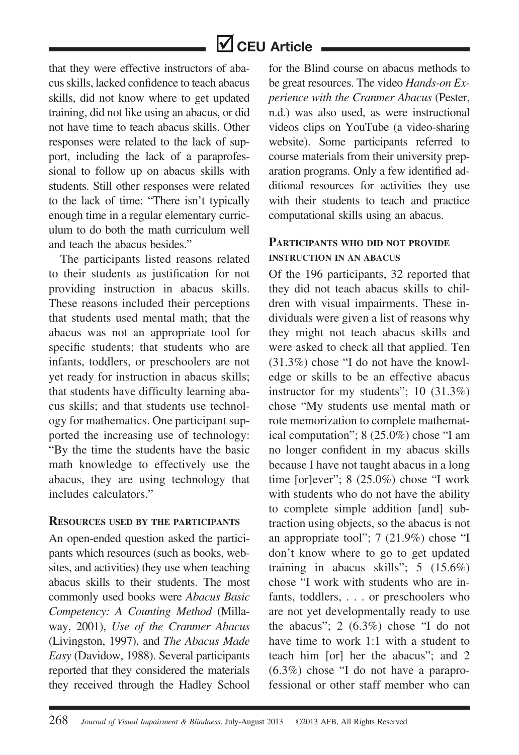that they were effective instructors of abacus skills, lacked confidence to teach abacus skills, did not know where to get updated training, did not like using an abacus, or did not have time to teach abacus skills. Other responses were related to the lack of support, including the lack of a paraprofessional to follow up on abacus skills with students. Still other responses were related to the lack of time: "There isn't typically enough time in a regular elementary curriculum to do both the math curriculum well and teach the abacus besides."

The participants listed reasons related to their students as justification for not providing instruction in abacus skills. These reasons included their perceptions that students used mental math; that the abacus was not an appropriate tool for specific students; that students who are infants, toddlers, or preschoolers are not yet ready for instruction in abacus skills; that students have difficulty learning abacus skills; and that students use technology for mathematics. One participant supported the increasing use of technology: "By the time the students have the basic math knowledge to effectively use the abacus, they are using technology that includes calculators."

### **RESOURCES USED BY THE PARTICIPANTS**

An open-ended question asked the participants which resources (such as books, websites, and activities) they use when teaching abacus skills to their students. The most commonly used books were *Abacus Basic Competency: A Counting Method* (Millaway, 2001), *Use of the Cranmer Abacus* (Livingston, 1997), and *The Abacus Made Easy* (Davidow, 1988). Several participants reported that they considered the materials they received through the Hadley School for the Blind course on abacus methods to be great resources. The video *Hands-on Experience with the Cranmer Abacus* (Pester, n.d.) was also used, as were instructional videos clips on YouTube (a video-sharing website). Some participants referred to course materials from their university preparation programs. Only a few identified additional resources for activities they use with their students to teach and practice computational skills using an abacus.

### **PARTICIPANTS WHO DID NOT PROVIDE INSTRUCTION IN AN ABACUS**

Of the 196 participants, 32 reported that they did not teach abacus skills to children with visual impairments. These individuals were given a list of reasons why they might not teach abacus skills and were asked to check all that applied. Ten (31.3%) chose "I do not have the knowledge or skills to be an effective abacus instructor for my students"; 10 (31.3%) chose "My students use mental math or rote memorization to complete mathematical computation"; 8 (25.0%) chose "I am no longer confident in my abacus skills because I have not taught abacus in a long time [or]ever"; 8 (25.0%) chose "I work with students who do not have the ability to complete simple addition [and] subtraction using objects, so the abacus is not an appropriate tool"; 7 (21.9%) chose "I don't know where to go to get updated training in abacus skills"; 5 (15.6%) chose "I work with students who are infants, toddlers, . . . or preschoolers who are not yet developmentally ready to use the abacus"; 2 (6.3%) chose "I do not have time to work 1:1 with a student to teach him [or] her the abacus"; and 2 (6.3%) chose "I do not have a paraprofessional or other staff member who can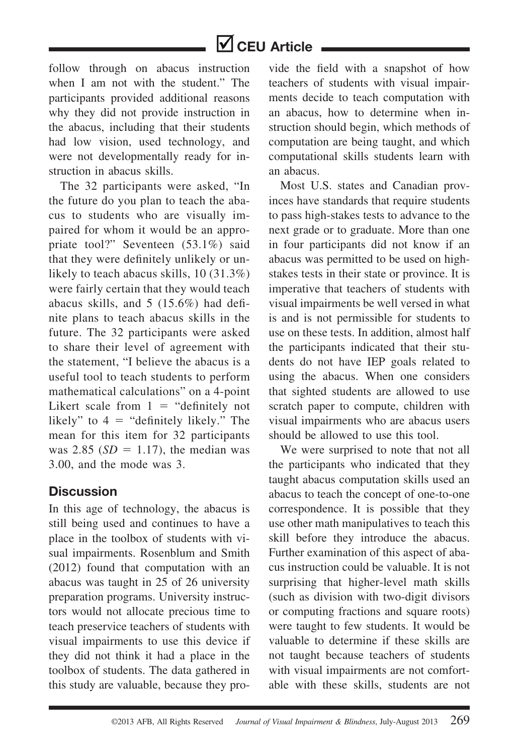follow through on abacus instruction when I am not with the student." The participants provided additional reasons why they did not provide instruction in the abacus, including that their students had low vision, used technology, and were not developmentally ready for instruction in abacus skills.

The 32 participants were asked, "In the future do you plan to teach the abacus to students who are visually impaired for whom it would be an appropriate tool?" Seventeen (53.1%) said that they were definitely unlikely or unlikely to teach abacus skills, 10 (31.3%) were fairly certain that they would teach abacus skills, and 5 (15.6%) had definite plans to teach abacus skills in the future. The 32 participants were asked to share their level of agreement with the statement, "I believe the abacus is a useful tool to teach students to perform mathematical calculations" on a 4-point Likert scale from  $1 =$  "definitely not likely" to  $4 =$  "definitely likely." The mean for this item for 32 participants was 2.85 ( $SD = 1.17$ ), the median was 3.00, and the mode was 3.

### **Discussion**

In this age of technology, the abacus is still being used and continues to have a place in the toolbox of students with visual impairments. Rosenblum and Smith (2012) found that computation with an abacus was taught in 25 of 26 university preparation programs. University instructors would not allocate precious time to teach preservice teachers of students with visual impairments to use this device if they did not think it had a place in the toolbox of students. The data gathered in this study are valuable, because they provide the field with a snapshot of how teachers of students with visual impairments decide to teach computation with an abacus, how to determine when instruction should begin, which methods of computation are being taught, and which computational skills students learn with an abacus.

Most U.S. states and Canadian provinces have standards that require students to pass high-stakes tests to advance to the next grade or to graduate. More than one in four participants did not know if an abacus was permitted to be used on highstakes tests in their state or province. It is imperative that teachers of students with visual impairments be well versed in what is and is not permissible for students to use on these tests. In addition, almost half the participants indicated that their students do not have IEP goals related to using the abacus. When one considers that sighted students are allowed to use scratch paper to compute, children with visual impairments who are abacus users should be allowed to use this tool.

We were surprised to note that not all the participants who indicated that they taught abacus computation skills used an abacus to teach the concept of one-to-one correspondence. It is possible that they use other math manipulatives to teach this skill before they introduce the abacus. Further examination of this aspect of abacus instruction could be valuable. It is not surprising that higher-level math skills (such as division with two-digit divisors or computing fractions and square roots) were taught to few students. It would be valuable to determine if these skills are not taught because teachers of students with visual impairments are not comfortable with these skills, students are not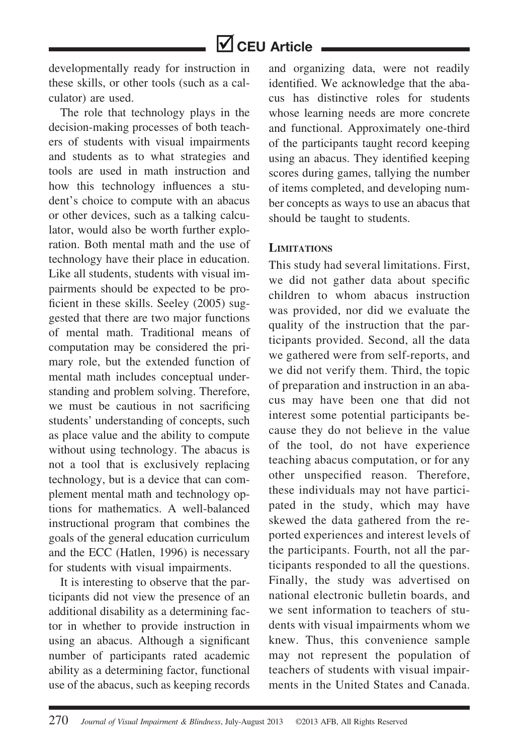developmentally ready for instruction in these skills, or other tools (such as a calculator) are used.

The role that technology plays in the decision-making processes of both teachers of students with visual impairments and students as to what strategies and tools are used in math instruction and how this technology influences a student's choice to compute with an abacus or other devices, such as a talking calculator, would also be worth further exploration. Both mental math and the use of technology have their place in education. Like all students, students with visual impairments should be expected to be proficient in these skills. Seeley (2005) suggested that there are two major functions of mental math. Traditional means of computation may be considered the primary role, but the extended function of mental math includes conceptual understanding and problem solving. Therefore, we must be cautious in not sacrificing students' understanding of concepts, such as place value and the ability to compute without using technology. The abacus is not a tool that is exclusively replacing technology, but is a device that can complement mental math and technology options for mathematics. A well-balanced instructional program that combines the goals of the general education curriculum and the ECC (Hatlen, 1996) is necessary for students with visual impairments.

It is interesting to observe that the participants did not view the presence of an additional disability as a determining factor in whether to provide instruction in using an abacus. Although a significant number of participants rated academic ability as a determining factor, functional use of the abacus, such as keeping records and organizing data, were not readily identified. We acknowledge that the abacus has distinctive roles for students whose learning needs are more concrete and functional. Approximately one-third of the participants taught record keeping using an abacus. They identified keeping scores during games, tallying the number of items completed, and developing number concepts as ways to use an abacus that should be taught to students.

### **LIMITATIONS**

This study had several limitations. First, we did not gather data about specific children to whom abacus instruction was provided, nor did we evaluate the quality of the instruction that the participants provided. Second, all the data we gathered were from self-reports, and we did not verify them. Third, the topic of preparation and instruction in an abacus may have been one that did not interest some potential participants because they do not believe in the value of the tool, do not have experience teaching abacus computation, or for any other unspecified reason. Therefore, these individuals may not have participated in the study, which may have skewed the data gathered from the reported experiences and interest levels of the participants. Fourth, not all the participants responded to all the questions. Finally, the study was advertised on national electronic bulletin boards, and we sent information to teachers of students with visual impairments whom we knew. Thus, this convenience sample may not represent the population of teachers of students with visual impairments in the United States and Canada.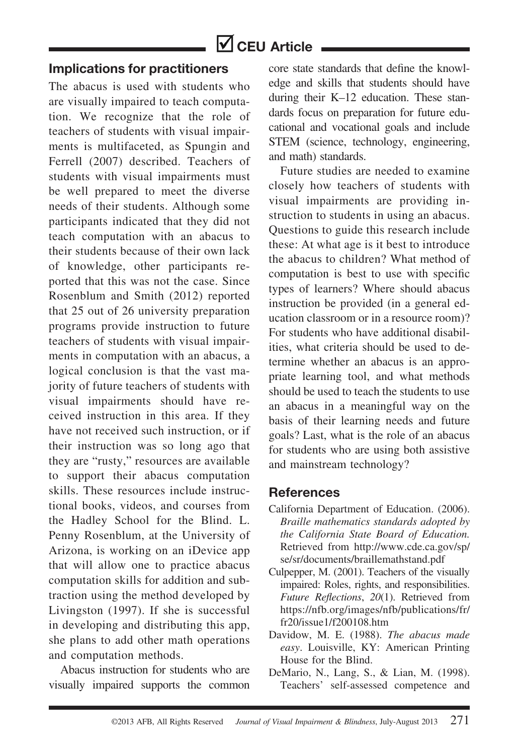### **Implications for practitioners**

The abacus is used with students who are visually impaired to teach computation. We recognize that the role of teachers of students with visual impairments is multifaceted, as Spungin and Ferrell (2007) described. Teachers of students with visual impairments must be well prepared to meet the diverse needs of their students. Although some participants indicated that they did not teach computation with an abacus to their students because of their own lack of knowledge, other participants reported that this was not the case. Since Rosenblum and Smith (2012) reported that 25 out of 26 university preparation programs provide instruction to future teachers of students with visual impairments in computation with an abacus, a logical conclusion is that the vast majority of future teachers of students with visual impairments should have received instruction in this area. If they have not received such instruction, or if their instruction was so long ago that they are "rusty," resources are available to support their abacus computation skills. These resources include instructional books, videos, and courses from the Hadley School for the Blind. L. Penny Rosenblum, at the University of Arizona, is working on an iDevice app that will allow one to practice abacus computation skills for addition and subtraction using the method developed by Livingston (1997). If she is successful in developing and distributing this app, she plans to add other math operations and computation methods.

Abacus instruction for students who are visually impaired supports the common core state standards that define the knowledge and skills that students should have during their K–12 education. These standards focus on preparation for future educational and vocational goals and include STEM (science, technology, engineering, and math) standards.

Future studies are needed to examine closely how teachers of students with visual impairments are providing instruction to students in using an abacus. Questions to guide this research include these: At what age is it best to introduce the abacus to children? What method of computation is best to use with specific types of learners? Where should abacus instruction be provided (in a general education classroom or in a resource room)? For students who have additional disabilities, what criteria should be used to determine whether an abacus is an appropriate learning tool, and what methods should be used to teach the students to use an abacus in a meaningful way on the basis of their learning needs and future goals? Last, what is the role of an abacus for students who are using both assistive and mainstream technology?

### **References**

- California Department of Education. (2006). *Braille mathematics standards adopted by the California State Board of Education.* Retrieved from http://www.cde.ca.gov/sp/ se/sr/documents/braillemathstand.pdf
- Culpepper, M. (2001). Teachers of the visually impaired: Roles, rights, and responsibilities. *Future Reflections*, *20*(1). Retrieved from https://nfb.org/images/nfb/publications/fr/ fr20/issue1/f200108.htm
- Davidow, M. E. (1988). *The abacus made easy*. Louisville, KY: American Printing House for the Blind.
- DeMario, N., Lang, S., & Lian, M. (1998). Teachers' self-assessed competence and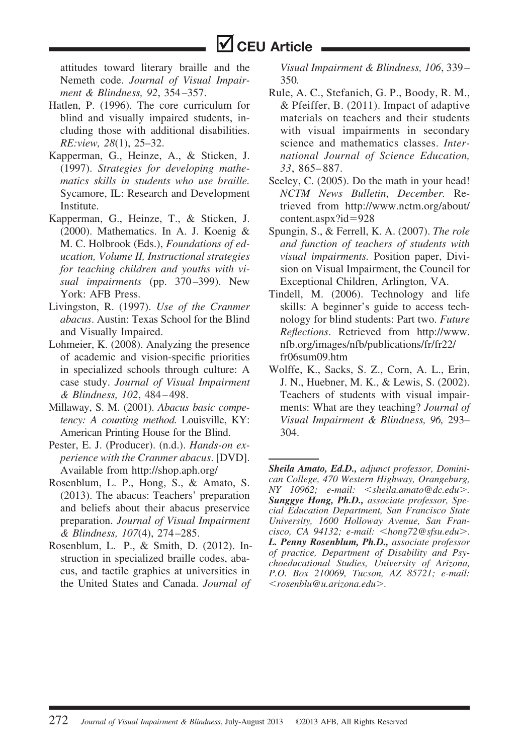attitudes toward literary braille and the Nemeth code. *Journal of Visual Impairment & Blindness, 92*, 354–357.

- Hatlen, P. (1996). The core curriculum for blind and visually impaired students, including those with additional disabilities. *RE:view, 28*(1), 25–32.
- Kapperman, G., Heinze, A., & Sticken, J. (1997). *Strategies for developing mathematics skills in students who use braille.* Sycamore, IL: Research and Development Institute.
- Kapperman, G., Heinze, T., & Sticken, J. (2000). Mathematics. In A. J. Koenig & M. C. Holbrook (Eds.), *Foundations of education, Volume II, Instructional strategies for teaching children and youths with visual impairments* (pp. 370–399). New York: AFB Press.
- Livingston, R. (1997). *Use of the Cranmer abacus*. Austin: Texas School for the Blind and Visually Impaired.
- Lohmeier, K. (2008). Analyzing the presence of academic and vision-specific priorities in specialized schools through culture: A case study. *Journal of Visual Impairment & Blindness, 102*, 484 – 498.
- Millaway, S. M. (2001). *Abacus basic competency: A counting method.* Louisville, KY: American Printing House for the Blind.
- Pester, E. J. (Producer). (n.d.). *Hands-on experience with the Cranmer abacus*. [DVD]. Available from http://shop.aph.org/
- Rosenblum, L. P., Hong, S., & Amato, S. (2013). The abacus: Teachers' preparation and beliefs about their abacus preservice preparation. *Journal of Visual Impairment & Blindness, 107*(4), 274 –285.
- Rosenblum, L. P., & Smith, D. (2012). Instruction in specialized braille codes, abacus, and tactile graphics at universities in the United States and Canada. *Journal of*

*Visual Impairment & Blindness, 106*, 339 – 350*.*

- Rule, A. C., Stefanich, G. P., Boody, R. M., & Pfeiffer, B. (2011). Impact of adaptive materials on teachers and their students with visual impairments in secondary science and mathematics classes. *International Journal of Science Education, 33*, 865– 887.
- Seeley, C. (2005). Do the math in your head! *NCTM News Bulletin*, *December.* Retrieved from http://www.nctm.org/about/ content.aspx?id=928
- Spungin, S., & Ferrell, K. A. (2007). *The role and function of teachers of students with visual impairments.* Position paper, Division on Visual Impairment, the Council for Exceptional Children, Arlington, VA.
- Tindell, M. (2006). Technology and life skills: A beginner's guide to access technology for blind students: Part two. *Future Reflections*. Retrieved from http://www. nfb.org/images/nfb/publications/fr/fr22/ fr06sum09.htm
- Wolffe, K., Sacks, S. Z., Corn, A. L., Erin, J. N., Huebner, M. K., & Lewis, S. (2002). Teachers of students with visual impairments: What are they teaching? *Journal of Visual Impairment & Blindness, 96,* 293– 304.

*Sheila Amato, Ed.D., adjunct professor, Dominican College, 470 Western Highway, Orangeburg, NY 10962; e-mail:* �*sheila.amato@dc.edu*�*. Sunggye Hong, Ph.D., associate professor, Special Education Department, San Francisco State University, 1600 Holloway Avenue, San Francisco, CA 94132; e-mail:* �*hong72@sfsu.edu*�*. L. Penny Rosenblum, Ph.D., associate professor of practice, Department of Disability and Psychoeducational Studies, University of Arizona, P.O. Box 210069, Tucson, AZ 85721; e-mail:* �*rosenblu@u.arizona.edu*�*.*